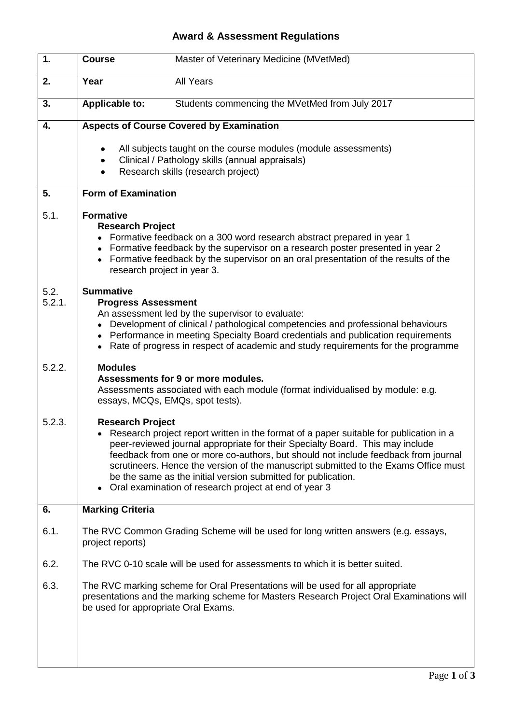## **Award & Assessment Regulations**

| 1.             | <b>Course</b>                                                                                | Master of Veterinary Medicine (MVetMed)                                                                                                                                                                                                                                                                                                                                                                                                                                        |
|----------------|----------------------------------------------------------------------------------------------|--------------------------------------------------------------------------------------------------------------------------------------------------------------------------------------------------------------------------------------------------------------------------------------------------------------------------------------------------------------------------------------------------------------------------------------------------------------------------------|
| 2.             | Year                                                                                         | <b>All Years</b>                                                                                                                                                                                                                                                                                                                                                                                                                                                               |
| 3.             | <b>Applicable to:</b>                                                                        | Students commencing the MVetMed from July 2017                                                                                                                                                                                                                                                                                                                                                                                                                                 |
| 4.             |                                                                                              | <b>Aspects of Course Covered by Examination</b>                                                                                                                                                                                                                                                                                                                                                                                                                                |
|                |                                                                                              | All subjects taught on the course modules (module assessments)<br>Clinical / Pathology skills (annual appraisals)<br>Research skills (research project)                                                                                                                                                                                                                                                                                                                        |
| 5.             | <b>Form of Examination</b>                                                                   |                                                                                                                                                                                                                                                                                                                                                                                                                                                                                |
| 5.1.           | <b>Formative</b><br><b>Research Project</b><br>٠<br>$\bullet$<br>research project in year 3. | Formative feedback on a 300 word research abstract prepared in year 1<br>Formative feedback by the supervisor on a research poster presented in year 2<br>Formative feedback by the supervisor on an oral presentation of the results of the                                                                                                                                                                                                                                   |
| 5.2.<br>5.2.1. | <b>Summative</b><br><b>Progress Assessment</b><br>٠<br>٠                                     | An assessment led by the supervisor to evaluate:<br>Development of clinical / pathological competencies and professional behaviours<br>Performance in meeting Specialty Board credentials and publication requirements<br>Rate of progress in respect of academic and study requirements for the programme                                                                                                                                                                     |
| 5.2.2.         | <b>Modules</b>                                                                               | Assessments for 9 or more modules.<br>Assessments associated with each module (format individualised by module: e.g.<br>essays, MCQs, EMQs, spot tests).                                                                                                                                                                                                                                                                                                                       |
| 5.2.3.         | <b>Research Project</b>                                                                      | Research project report written in the format of a paper suitable for publication in a<br>peer-reviewed journal appropriate for their Specialty Board. This may include<br>feedback from one or more co-authors, but should not include feedback from journal<br>scrutineers. Hence the version of the manuscript submitted to the Exams Office must<br>be the same as the initial version submitted for publication.<br>Oral examination of research project at end of year 3 |
| 6.             | <b>Marking Criteria</b>                                                                      |                                                                                                                                                                                                                                                                                                                                                                                                                                                                                |
| 6.1.           | project reports)                                                                             | The RVC Common Grading Scheme will be used for long written answers (e.g. essays,                                                                                                                                                                                                                                                                                                                                                                                              |
| 6.2.           |                                                                                              | The RVC 0-10 scale will be used for assessments to which it is better suited.                                                                                                                                                                                                                                                                                                                                                                                                  |
| 6.3.           | be used for appropriate Oral Exams.                                                          | The RVC marking scheme for Oral Presentations will be used for all appropriate<br>presentations and the marking scheme for Masters Research Project Oral Examinations will                                                                                                                                                                                                                                                                                                     |
|                |                                                                                              |                                                                                                                                                                                                                                                                                                                                                                                                                                                                                |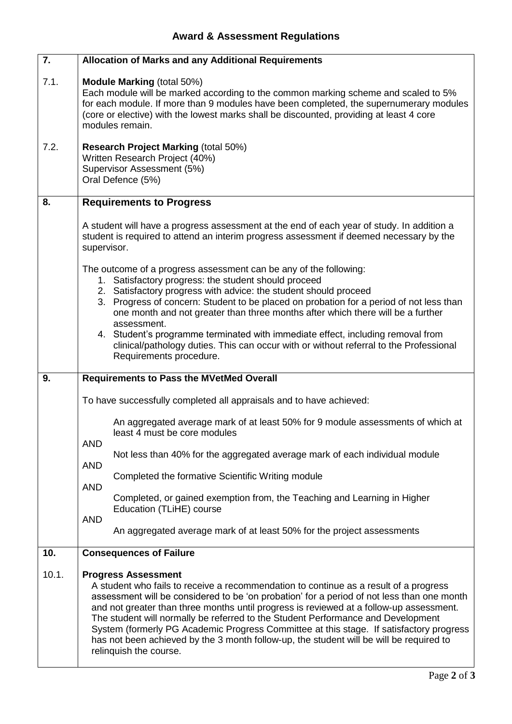| 7.           | <b>Allocation of Marks and any Additional Requirements</b>                                                                                                                                                                                                                                                                                                                                                                                                                                                                                                                                         |
|--------------|----------------------------------------------------------------------------------------------------------------------------------------------------------------------------------------------------------------------------------------------------------------------------------------------------------------------------------------------------------------------------------------------------------------------------------------------------------------------------------------------------------------------------------------------------------------------------------------------------|
| 7.1.<br>7.2. | <b>Module Marking (total 50%)</b><br>Each module will be marked according to the common marking scheme and scaled to 5%<br>for each module. If more than 9 modules have been completed, the supernumerary modules<br>(core or elective) with the lowest marks shall be discounted, providing at least 4 core<br>modules remain.<br><b>Research Project Marking (total 50%)</b><br>Written Research Project (40%)                                                                                                                                                                                   |
|              | Supervisor Assessment (5%)<br>Oral Defence (5%)                                                                                                                                                                                                                                                                                                                                                                                                                                                                                                                                                    |
| 8.           | <b>Requirements to Progress</b>                                                                                                                                                                                                                                                                                                                                                                                                                                                                                                                                                                    |
|              | A student will have a progress assessment at the end of each year of study. In addition a<br>student is required to attend an interim progress assessment if deemed necessary by the<br>supervisor.                                                                                                                                                                                                                                                                                                                                                                                                |
|              | The outcome of a progress assessment can be any of the following:<br>1. Satisfactory progress: the student should proceed<br>2. Satisfactory progress with advice: the student should proceed<br>3. Progress of concern: Student to be placed on probation for a period of not less than<br>one month and not greater than three months after which there will be a further<br>assessment.<br>4. Student's programme terminated with immediate effect, including removal from<br>clinical/pathology duties. This can occur with or without referral to the Professional<br>Requirements procedure. |
| 9.           | <b>Requirements to Pass the MVetMed Overall</b>                                                                                                                                                                                                                                                                                                                                                                                                                                                                                                                                                    |
|              | To have successfully completed all appraisals and to have achieved:                                                                                                                                                                                                                                                                                                                                                                                                                                                                                                                                |
|              | An aggregated average mark of at least 50% for 9 module assessments of which at<br>least 4 must be core modules<br><b>AND</b>                                                                                                                                                                                                                                                                                                                                                                                                                                                                      |
|              | Not less than 40% for the aggregated average mark of each individual module<br><b>AND</b>                                                                                                                                                                                                                                                                                                                                                                                                                                                                                                          |
|              | Completed the formative Scientific Writing module<br><b>AND</b>                                                                                                                                                                                                                                                                                                                                                                                                                                                                                                                                    |
|              | Completed, or gained exemption from, the Teaching and Learning in Higher<br>Education (TLiHE) course<br><b>AND</b>                                                                                                                                                                                                                                                                                                                                                                                                                                                                                 |
|              | An aggregated average mark of at least 50% for the project assessments                                                                                                                                                                                                                                                                                                                                                                                                                                                                                                                             |
| 10.          | <b>Consequences of Failure</b>                                                                                                                                                                                                                                                                                                                                                                                                                                                                                                                                                                     |
| 10.1.        | <b>Progress Assessment</b><br>A student who fails to receive a recommendation to continue as a result of a progress<br>assessment will be considered to be 'on probation' for a period of not less than one month<br>and not greater than three months until progress is reviewed at a follow-up assessment.<br>The student will normally be referred to the Student Performance and Development                                                                                                                                                                                                   |